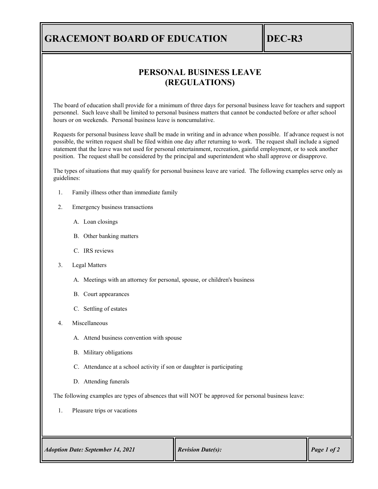## **GRACEMONT BOARD OF EDUCATION DEC-R3**

## **PERSONAL BUSINESS LEAVE (REGULATIONS)**

The board of education shall provide for a minimum of three days for personal business leave for teachers and support personnel. Such leave shall be limited to personal business matters that cannot be conducted before or after school hours or on weekends. Personal business leave is noncumulative.

Requests for personal business leave shall be made in writing and in advance when possible. If advance request is not possible, the written request shall be filed within one day after returning to work. The request shall include a signed statement that the leave was not used for personal entertainment, recreation, gainful employment, or to seek another position. The request shall be considered by the principal and superintendent who shall approve or disapprove.

The types of situations that may qualify for personal business leave are varied. The following examples serve only as guidelines:

- 1. Family illness other than immediate family
- 2. Emergency business transactions
	- A. Loan closings
	- B. Other banking matters
	- C. IRS reviews
- 3. Legal Matters
	- A. Meetings with an attorney for personal, spouse, or children's business
	- B. Court appearances
	- C. Settling of estates
- 4. Miscellaneous
	- A. Attend business convention with spouse
	- B. Military obligations
	- C. Attendance at a school activity if son or daughter is participating
	- D. Attending funerals

The following examples are types of absences that will NOT be approved for personal business leave:

 $\overline{\mathbb{T}}$ 

1. Pleasure trips or vacations

| <b>Adoption Date: September 14, 2021</b> | <b>Revision Date(s):</b> | $\bigg $ Page 1 of 2 |
|------------------------------------------|--------------------------|----------------------|
|------------------------------------------|--------------------------|----------------------|